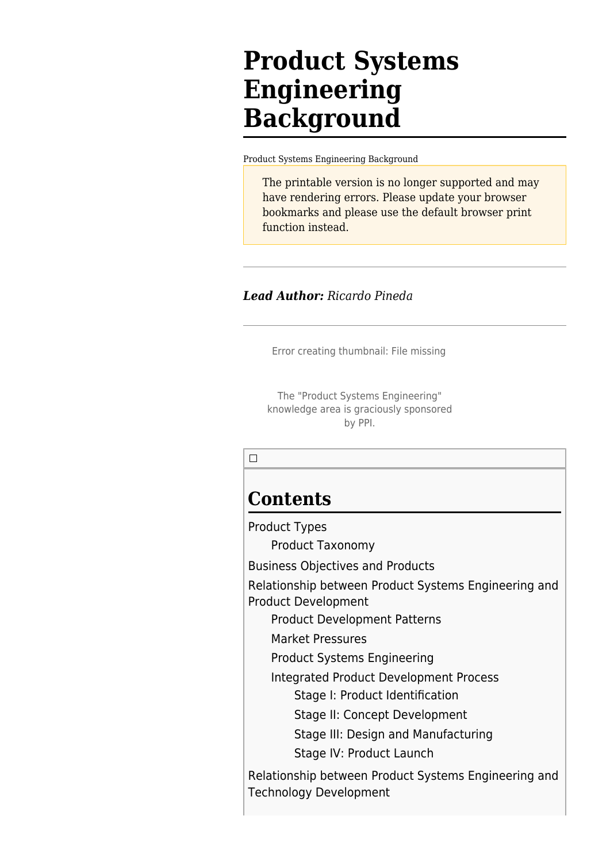# **Product Systems Engineering Background**

[Product Systems Engineering Background](http://sandbox.sebokwiki.org/Product_Systems_Engineering_Background)

The printable version is no longer supported and may have rendering errors. Please update your browser bookmarks and please use the default browser print function instead.

#### *Lead Author: Ricardo Pineda*

Error creating thumbnail: File missing

The "Product Systems Engineering" knowledge area is graciously sponsored by PPI.

 $\Box$ 

## **Contents**

[Product Types](#page--1-0)

[Product Taxonomy](#page--1-0)

[Business Objectives and Products](#page--1-0)

[Relationship between Product Systems Engineering and](#page--1-0) [Product Development](#page--1-0)

[Product Development Patterns](#page--1-0)

[Market Pressures](#page--1-0)

[Product Systems Engineering](#page--1-0)

[Integrated Product Development Process](#page--1-0)

[Stage I: Product Identification](#page--1-0)

[Stage II: Concept Development](#page--1-0)

[Stage III: Design and Manufacturing](#page--1-0)

[Stage IV: Product Launch](#page--1-0)

[Relationship between Product Systems Engineering and](#page--1-0) [Technology Development](#page--1-0)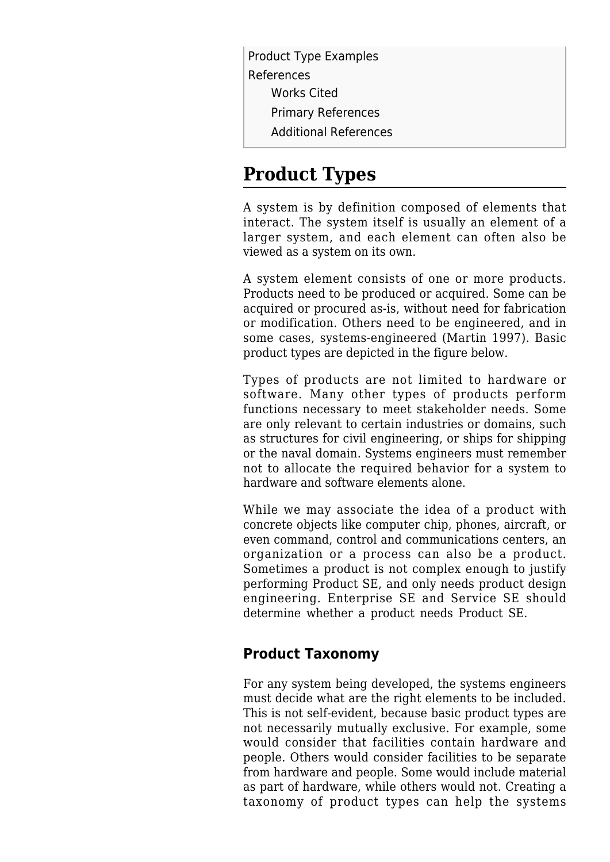[Product Type Examples](#page--1-0) [References](#page--1-0) [Works Cited](#page--1-0) [Primary References](#page--1-0) [Additional References](#page--1-0)

## **Product Types**

A system is by definition composed of elements that interact. The system itself is usually an element of a larger system, and each element can often also be viewed as a system on its own.

A system element consists of one or more products. Products need to be produced or acquired. Some can be acquired or procured as-is, without need for fabrication or modification. Others need to be engineered, and in some cases, systems-engineered (Martin 1997). Basic product types are depicted in the figure below.

Types of products are not limited to hardware or software. Many other types of products perform functions necessary to meet stakeholder needs. Some are only relevant to certain industries or domains, such as structures for civil engineering, or ships for shipping or the naval domain. Systems engineers must remember not to allocate the required behavior for a system to hardware and software elements alone.

While we may associate the idea of a product with concrete objects like computer chip, phones, aircraft, or even command, control and communications centers, an organization or a process can also be a product. Sometimes a product is not complex enough to justify performing Product SE, and only needs product design engineering. Enterprise SE and Service SE should determine whether a product needs Product SE.

### **Product Taxonomy**

For any system being developed, the systems engineers must decide what are the right elements to be included. This is not self-evident, because basic product types are not necessarily mutually exclusive. For example, some would consider that facilities contain hardware and people. Others would consider facilities to be separate from hardware and people. Some would include material as part of hardware, while others would not. Creating a taxonomy of product types can help the systems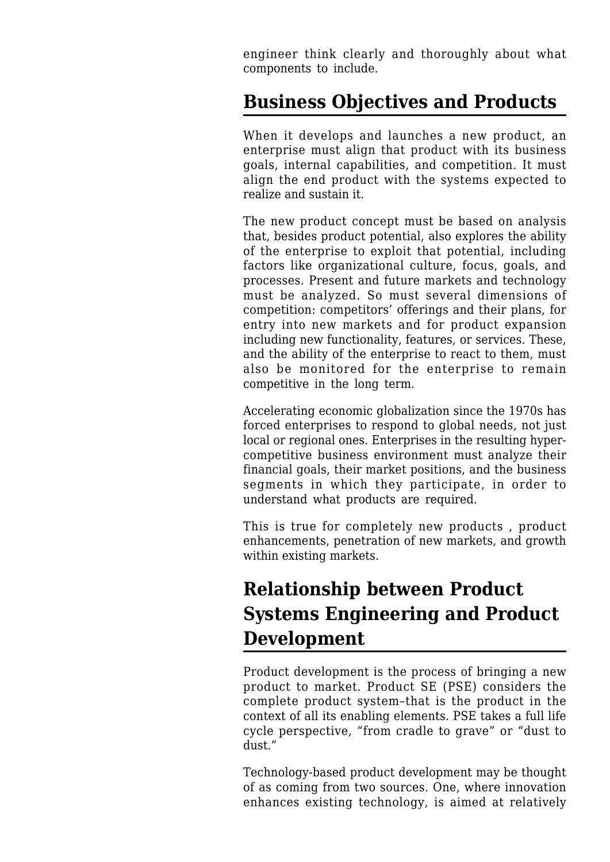engineer think clearly and thoroughly about what components to include.

## **Business Objectives and Products**

When it develops and launches a new product, an enterprise must align that product with its business goals, internal capabilities, and competition. It must align the end product with the systems expected to realize and sustain it.

The new product concept must be based on analysis that, besides product potential, also explores the ability of the enterprise to exploit that potential, including factors like organizational culture, focus, goals, and processes. Present and future markets and technology must be analyzed. So must several dimensions of competition: competitors' offerings and their plans, for entry into new markets and for product expansion including new functionality, features, or services. These, and the ability of the enterprise to react to them, must also be monitored for the enterprise to remain competitive in the long term.

Accelerating economic globalization since the 1970s has forced enterprises to respond to global needs, not just local or regional ones. Enterprises in the resulting hypercompetitive business environment must analyze their financial goals, their market positions, and the business segments in which they participate, in order to understand what products are required.

This is true for completely new products , product enhancements, penetration of new markets, and growth within existing markets.

## **Relationship between Product Systems Engineering and Product Development**

Product development is the process of bringing a new product to market. Product SE (PSE) considers the complete product system–that is the product in the context of all its enabling elements. PSE takes a full life cycle perspective, "from cradle to grave" or "dust to dust."

Technology-based product development may be thought of as coming from two sources. One, where innovation enhances existing technology, is aimed at relatively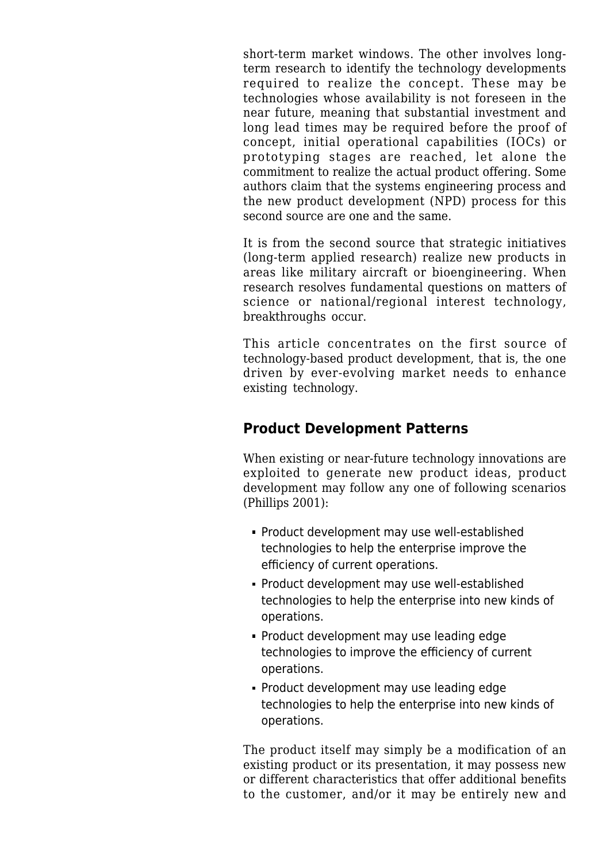short-term market windows. The other involves longterm research to identify the technology developments required to realize the concept. These may be technologies whose availability is not foreseen in the near future, meaning that substantial investment and long lead times may be required before the proof of concept, initial operational capabilities (IOCs) or prototyping stages are reached, let alone the commitment to realize the actual product offering. Some authors claim that the systems engineering process and the new product development (NPD) process for this second source are one and the same.

It is from the second source that strategic initiatives (long-term applied research) realize new products in areas like military aircraft or bioengineering. When research resolves fundamental questions on matters of science or national/regional interest technology, breakthroughs occur.

This article concentrates on the first source of technology-based product development, that is, the one driven by ever-evolving market needs to enhance existing technology.

### **Product Development Patterns**

When existing or near-future technology innovations are exploited to generate new product ideas, product development may follow any one of following scenarios (Phillips 2001):

- Product development may use well-established technologies to help the enterprise improve the efficiency of current operations.
- Product development may use well-established technologies to help the enterprise into new kinds of operations.
- **Product development may use leading edge** technologies to improve the efficiency of current operations.
- **Product development may use leading edge** technologies to help the enterprise into new kinds of operations.

The product itself may simply be a modification of an existing product or its presentation, it may possess new or different characteristics that offer additional benefits to the customer, and/or it may be entirely new and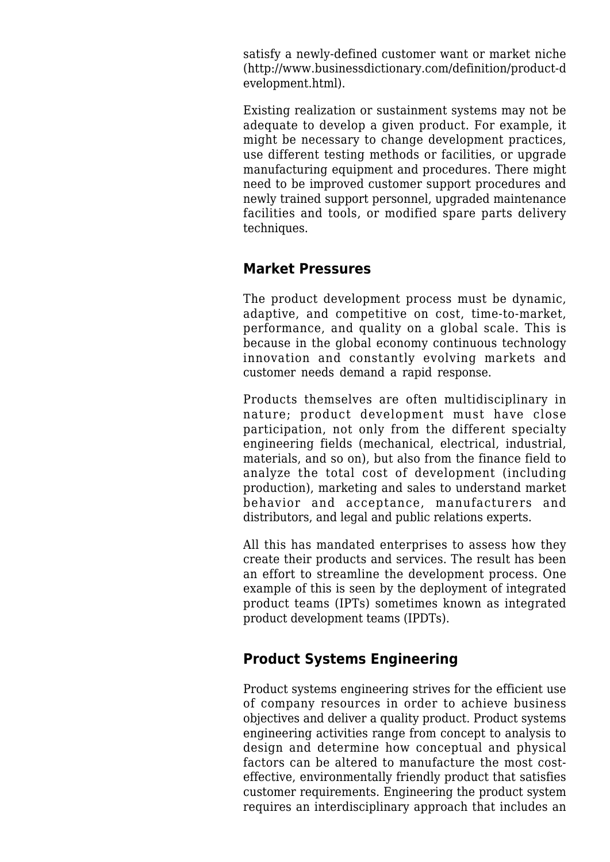satisfy a newly-defined customer want or market niche ([http://www.businessdictionary.com/definition/product-d](http://www.businessdictionary.com/definition/product-development.html) [evelopment.html\)](http://www.businessdictionary.com/definition/product-development.html).

Existing realization or sustainment systems may not be adequate to develop a given product. For example, it might be necessary to change development practices, use different testing methods or facilities, or upgrade manufacturing equipment and procedures. There might need to be improved customer support procedures and newly trained support personnel, upgraded maintenance facilities and tools, or modified spare parts delivery techniques.

### **Market Pressures**

The product development process must be dynamic, adaptive, and competitive on cost, time-to-market, performance, and quality on a global scale. This is because in the global economy continuous technology innovation and constantly evolving markets and customer needs demand a rapid response.

Products themselves are often multidisciplinary in nature; product development must have close participation, not only from the different specialty engineering fields (mechanical, electrical, industrial, materials, and so on), but also from the finance field to analyze the total cost of development (including production), marketing and sales to understand market behavior and acceptance, manufacturers and distributors, and legal and public relations experts.

All this has mandated enterprises to assess how they create their products and services. The result has been an effort to streamline the development process. One example of this is seen by the deployment of integrated product teams (IPTs) sometimes known as integrated product development teams (IPDTs).

## **Product Systems Engineering**

Product systems engineering strives for the efficient use of company resources in order to achieve business objectives and deliver a quality product. Product systems engineering activities range from concept to analysis to design and determine how conceptual and physical factors can be altered to manufacture the most costeffective, environmentally friendly product that satisfies customer requirements. Engineering the product system requires an interdisciplinary approach that includes an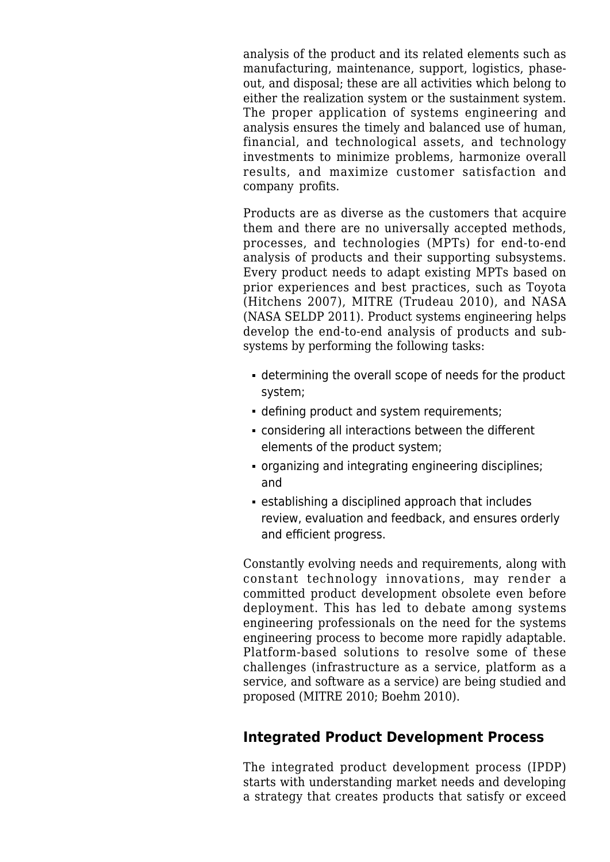analysis of the product and its related elements such as manufacturing, maintenance, support, logistics, phaseout, and disposal; these are all activities which belong to either the realization system or the sustainment system. The proper application of systems engineering and analysis ensures the timely and balanced use of human, financial, and technological assets, and technology investments to minimize problems, harmonize overall results, and maximize customer satisfaction and company profits.

Products are as diverse as the customers that acquire them and there are no universally accepted methods, processes, and technologies (MPTs) for end-to-end analysis of products and their supporting subsystems. Every product needs to adapt existing MPTs based on prior experiences and best practices, such as Toyota (Hitchens 2007), MITRE (Trudeau 2010), and NASA (NASA SELDP 2011). Product systems engineering helps develop the end-to-end analysis of products and subsystems by performing the following tasks:

- determining the overall scope of needs for the product system;
- defining product and system requirements;
- considering all interactions between the different elements of the product system;
- organizing and integrating engineering disciplines; and
- establishing a disciplined approach that includes review, evaluation and feedback, and ensures orderly and efficient progress.

Constantly evolving needs and requirements, along with constant technology innovations, may render a committed product development obsolete even before deployment. This has led to debate among systems engineering professionals on the need for the systems engineering process to become more rapidly adaptable. Platform-based solutions to resolve some of these challenges (infrastructure as a service, platform as a service, and software as a service) are being studied and proposed (MITRE 2010; Boehm 2010).

## **Integrated Product Development Process**

The integrated product development process (IPDP) starts with understanding market needs and developing a strategy that creates products that satisfy or exceed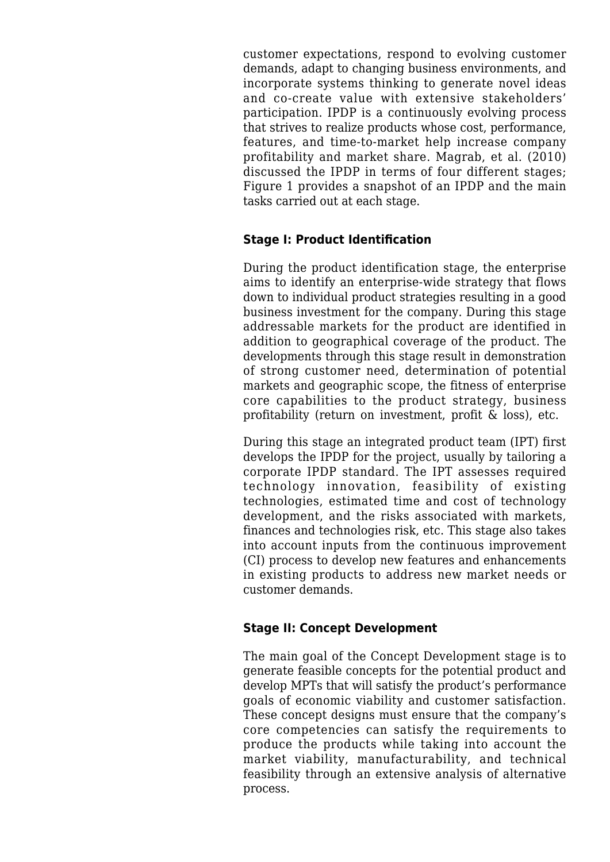customer expectations, respond to evolving customer demands, adapt to changing business environments, and incorporate systems thinking to generate novel ideas and co-create value with extensive stakeholders' participation. IPDP is a continuously evolving process that strives to realize products whose cost, performance, features, and time-to-market help increase company profitability and market share. Magrab, et al. (2010) discussed the IPDP in terms of four different stages; Figure 1 provides a snapshot of an IPDP and the main tasks carried out at each stage.

#### **Stage I: Product Identification**

During the product identification stage, the enterprise aims to identify an enterprise-wide strategy that flows down to individual product strategies resulting in a good business investment for the company. During this stage addressable markets for the product are identified in addition to geographical coverage of the product. The developments through this stage result in demonstration of strong customer need, determination of potential markets and geographic scope, the fitness of enterprise core capabilities to the product strategy, business profitability (return on investment, profit & loss), etc.

During this stage an integrated product team (IPT) first develops the IPDP for the project, usually by tailoring a corporate IPDP standard. The IPT assesses required technology innovation, feasibility of existing technologies, estimated time and cost of technology development, and the risks associated with markets, finances and technologies risk, etc. This stage also takes into account inputs from the continuous improvement (CI) process to develop new features and enhancements in existing products to address new market needs or customer demands.

#### **Stage II: Concept Development**

The main goal of the Concept Development stage is to generate feasible concepts for the potential product and develop MPTs that will satisfy the product's performance goals of economic viability and customer satisfaction. These concept designs must ensure that the company's core competencies can satisfy the requirements to produce the products while taking into account the market viability, manufacturability, and technical feasibility through an extensive analysis of alternative process.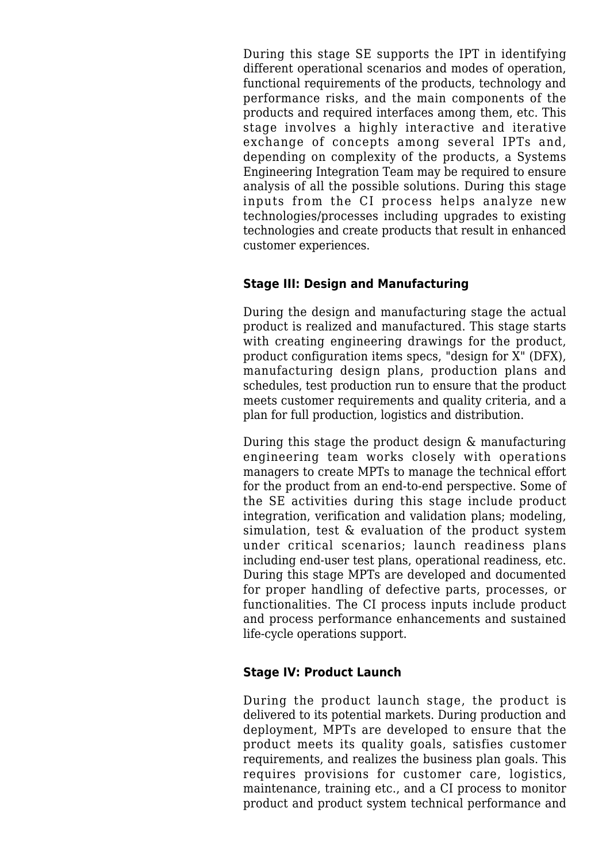During this stage SE supports the IPT in identifying different operational scenarios and modes of operation, functional requirements of the products, technology and performance risks, and the main components of the products and required interfaces among them, etc. This stage involves a highly interactive and iterative exchange of concepts among several IPTs and, depending on complexity of the products, a Systems Engineering Integration Team may be required to ensure analysis of all the possible solutions. During this stage inputs from the CI process helps analyze new technologies/processes including upgrades to existing technologies and create products that result in enhanced customer experiences.

#### **Stage III: Design and Manufacturing**

During the design and manufacturing stage the actual product is realized and manufactured. This stage starts with creating engineering drawings for the product, product configuration items specs, "design for X" (DFX), manufacturing design plans, production plans and schedules, test production run to ensure that the product meets customer requirements and quality criteria, and a plan for full production, logistics and distribution.

During this stage the product design & manufacturing engineering team works closely with operations managers to create MPTs to manage the technical effort for the product from an end-to-end perspective. Some of the SE activities during this stage include product integration, verification and validation plans; modeling, simulation, test & evaluation of the product system under critical scenarios; launch readiness plans including end-user test plans, operational readiness, etc. During this stage MPTs are developed and documented for proper handling of defective parts, processes, or functionalities. The CI process inputs include product and process performance enhancements and sustained life-cycle operations support.

#### **Stage IV: Product Launch**

During the product launch stage, the product is delivered to its potential markets. During production and deployment, MPTs are developed to ensure that the product meets its quality goals, satisfies customer requirements, and realizes the business plan goals. This requires provisions for customer care, logistics, maintenance, training etc., and a CI process to monitor product and product system technical performance and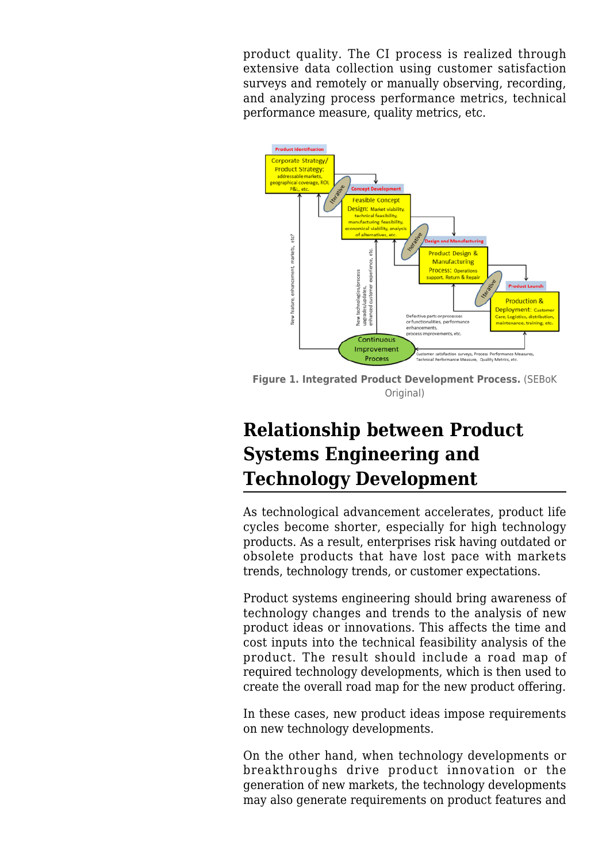product quality. The CI process is realized through extensive data collection using customer satisfaction surveys and remotely or manually observing, recording, and analyzing process performance metrics, technical performance measure, quality metrics, etc.



**Figure 1. Integrated Product Development Process.** (SEBoK Original)

## **Relationship between Product Systems Engineering and Technology Development**

As technological advancement accelerates, product life cycles become shorter, especially for high technology products. As a result, enterprises risk having outdated or obsolete products that have lost pace with markets trends, technology trends, or customer expectations.

Product systems engineering should bring awareness of technology changes and trends to the analysis of new product ideas or innovations. This affects the time and cost inputs into the technical feasibility analysis of the product. The result should include a road map of required technology developments, which is then used to create the overall road map for the new product offering.

In these cases, new product ideas impose requirements on new technology developments.

On the other hand, when technology developments or breakthroughs drive product innovation or the generation of new markets, the technology developments may also generate requirements on product features and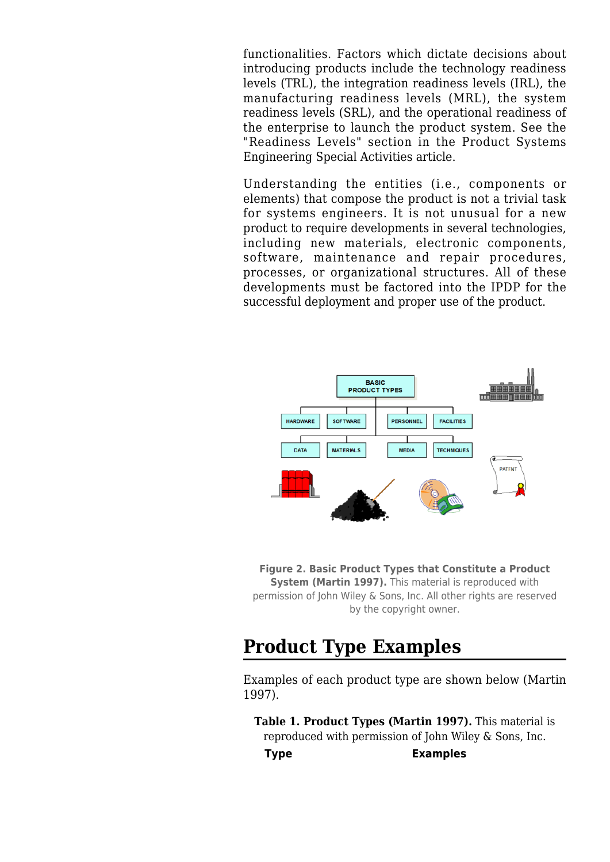functionalities. Factors which dictate decisions about introducing products include the technology readiness levels (TRL), the integration readiness levels (IRL), the manufacturing readiness levels (MRL), the system readiness levels (SRL), and the operational readiness of the enterprise to launch the product system. See the "Readiness Levels" section in the [Product Systems](http://sandbox.sebokwiki.org/Product_Systems_Engineering_Special_Activities) [Engineering Special Activities](http://sandbox.sebokwiki.org/Product_Systems_Engineering_Special_Activities) article.

Understanding the entities (i.e., components or elements) that compose the product is not a trivial task for systems engineers. It is not unusual for a new product to require developments in several technologies, including new materials, electronic components, software, maintenance and repair procedures, processes, or organizational structures. All of these developments must be factored into the IPDP for the successful deployment and proper use of the product.



**Figure 2. Basic Product Types that Constitute a Product System (Martin 1997).** This material is reproduced with permission of John Wiley & Sons, Inc. All other rights are reserved by the copyright owner.

## **Product Type Examples**

Examples of each product type are shown below (Martin 1997).

**Table 1. Product Types (Martin 1997).** This material is reproduced with permission of John Wiley & Sons, Inc. **Type Examples**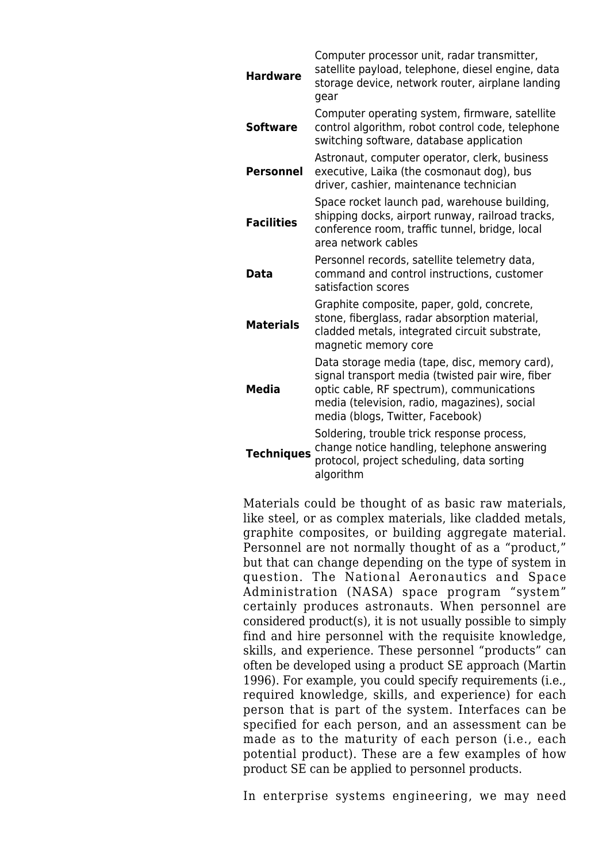| <b>Hardware</b>   | Computer processor unit, radar transmitter,<br>satellite payload, telephone, diesel engine, data<br>storage device, network router, airplane landing<br>gear                                                                       |
|-------------------|------------------------------------------------------------------------------------------------------------------------------------------------------------------------------------------------------------------------------------|
| <b>Software</b>   | Computer operating system, firmware, satellite<br>control algorithm, robot control code, telephone<br>switching software, database application                                                                                     |
| <b>Personnel</b>  | Astronaut, computer operator, clerk, business<br>executive, Laika (the cosmonaut dog), bus<br>driver, cashier, maintenance technician                                                                                              |
| <b>Facilities</b> | Space rocket launch pad, warehouse building,<br>shipping docks, airport runway, railroad tracks,<br>conference room, traffic tunnel, bridge, local<br>area network cables                                                          |
| Data              | Personnel records, satellite telemetry data,<br>command and control instructions, customer<br>satisfaction scores                                                                                                                  |
| <b>Materials</b>  | Graphite composite, paper, gold, concrete,<br>stone, fiberglass, radar absorption material,<br>cladded metals, integrated circuit substrate,<br>magnetic memory core                                                               |
| <b>Media</b>      | Data storage media (tape, disc, memory card),<br>signal transport media (twisted pair wire, fiber<br>optic cable, RF spectrum), communications<br>media (television, radio, magazines), social<br>media (blogs, Twitter, Facebook) |
| <b>Techniques</b> | Soldering, trouble trick response process,<br>change notice handling, telephone answering<br>protocol, project scheduling, data sorting<br>algorithm                                                                               |

Materials could be thought of as basic raw materials, like steel, or as complex materials, like cladded metals, graphite composites, or building aggregate material. Personnel are not normally thought of as a "product," but that can change depending on the type of system in question. The National Aeronautics and Space Administration (NASA) space program "system" certainly produces astronauts. When personnel are considered product(s), it is not usually possible to simply find and hire personnel with the requisite knowledge, skills, and experience. These personnel "products" can often be developed using a product SE approach (Martin 1996). For example, you could specify requirements (i.e., required knowledge, skills, and experience) for each person that is part of the system. Interfaces can be specified for each person, and an assessment can be made as to the maturity of each person (i.e., each potential product). These are a few examples of how product SE can be applied to personnel products.

In enterprise systems engineering, we may need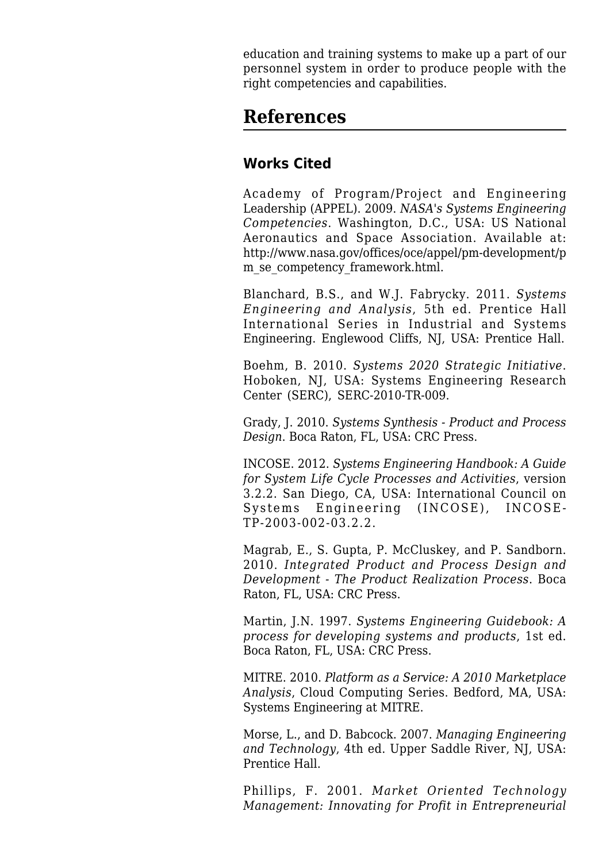education and training systems to make up a part of our personnel system in order to produce people with the right competencies and capabilities.

## **References**

### **Works Cited**

Academy of Program/Project and Engineering Leadership (APPEL). 2009. *NASA's Systems Engineering Competencies*. Washington, D.C., USA: US National Aeronautics and Space Association. Available at: [http://www.nasa.gov/offices/oce/appel/pm-development/p](http://www.nasa.gov/offices/oce/appel/pm-development/pm_se_competency_framework.html) [m\\_se\\_competency\\_framework.html.](http://www.nasa.gov/offices/oce/appel/pm-development/pm_se_competency_framework.html)

Blanchard, B.S., and W.J. Fabrycky. 2011. *Systems Engineering and Analysis*, 5th ed. Prentice Hall International Series in Industrial and Systems Engineering. Englewood Cliffs, NJ, USA: Prentice Hall.

Boehm, B. 2010. *Systems 2020 Strategic Initiative*. Hoboken, NJ, USA: Systems Engineering Research Center (SERC), SERC-2010-TR-009.

Grady, J. 2010. *[Systems Synthesis](http://sandbox.sebokwiki.org/Systems_Synthesis) - Product and Process Design*. Boca Raton, FL, USA: CRC Press.

INCOSE. 2012. *[Systems Engineering Handbook:](http://sandbox.sebokwiki.org/INCOSE_Systems_Engineering_Handbook) A Guide for System Life Cycle Processes and Activities*, version 3.2.2. San Diego, CA, USA: International Council on Systems Engineering (INCOSE), INCOSE-TP-2003-002-03.2.2.

Magrab, E., S. Gupta, P. McCluskey, and P. Sandborn. 2010. *[Integrated Product and Process Design and](http://sandbox.sebokwiki.org/Integrated_Product_and_Process_Design_and_Development) [Development](http://sandbox.sebokwiki.org/Integrated_Product_and_Process_Design_and_Development) - The Product Realization Process*. Boca Raton, FL, USA: CRC Press.

Martin, J.N. 1997. *[Systems Engineering Guidebook](http://sandbox.sebokwiki.org/Systems_Engineering_Guidebook): A process for developing systems and products*, 1st ed. Boca Raton, FL, USA: CRC Press.

MITRE. 2010. *Platform as a Service: A 2010 Marketplace Analysis*, Cloud Computing Series. Bedford, MA, USA: Systems Engineering at MITRE.

Morse, L., and D. Babcock. 2007. *Managing Engineering and Technology*, 4th ed. Upper Saddle River, NJ, USA: Prentice Hall.

Phillips, F. 2001. *Market Oriented Technology Management: Innovating for Profit in Entrepreneurial*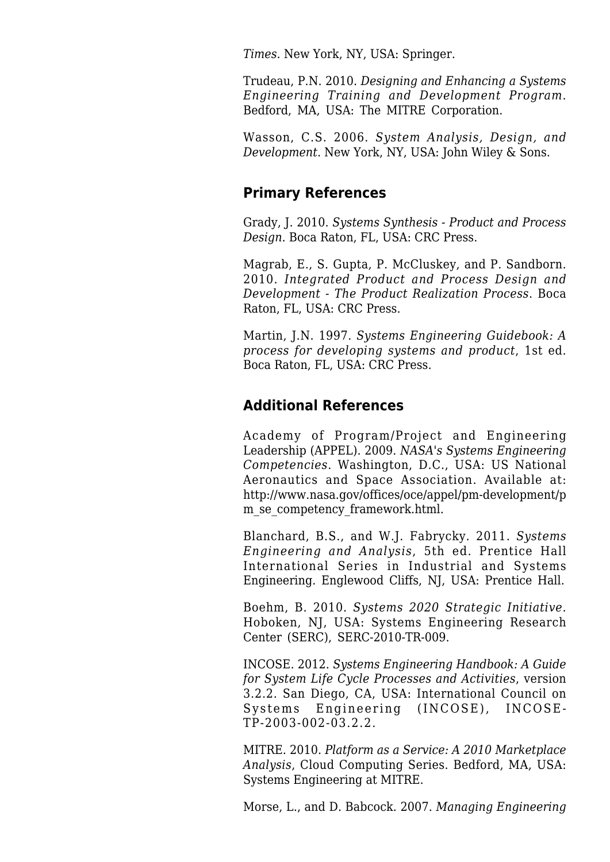*Times*. New York, NY, USA: Springer.

Trudeau, P.N. 2010. *Designing and Enhancing a Systems Engineering Training and Development Program*. Bedford, MA, USA: The MITRE Corporation.

Wasson, C.S. 2006. *System Analysis, Design, and Development*. New York, NY, USA: John Wiley & Sons.

### **Primary References**

Grady, J. 2010. *[Systems Synthesis](http://sandbox.sebokwiki.org/Systems_Synthesis) - Product and Process Design*. Boca Raton, FL, USA: CRC Press.

Magrab, E., S. Gupta, P. McCluskey, and P. Sandborn. 2010. *[Integrated Product and Process Design and](http://sandbox.sebokwiki.org/Integrated_Product_and_Process_Design_and_Development) [Development](http://sandbox.sebokwiki.org/Integrated_Product_and_Process_Design_and_Development) - The Product Realization Process*. Boca Raton, FL, USA: CRC Press.

Martin, J.N. 1997. *[Systems Engineering Guidebook](http://sandbox.sebokwiki.org/Systems_Engineering_Guidebook): A process for developing systems and product*, 1st ed. Boca Raton, FL, USA: CRC Press.

### **Additional References**

Academy of Program/Project and Engineering Leadership (APPEL). 2009. *NASA's Systems Engineering Competencies*. Washington, D.C., USA: US National Aeronautics and Space Association. Available at: [http://www.nasa.gov/offices/oce/appel/pm-development/p](http://www.nasa.gov/offices/oce/appel/pm-development/pm_se_competency_framework.html) [m\\_se\\_competency\\_framework.html.](http://www.nasa.gov/offices/oce/appel/pm-development/pm_se_competency_framework.html)

Blanchard, B.S., and W.J. Fabrycky. 2011. *Systems Engineering and Analysis*, 5th ed. Prentice Hall International Series in Industrial and Systems Engineering. Englewood Cliffs, NJ, USA: Prentice Hall.

Boehm, B. 2010. *Systems 2020 Strategic Initiative*. Hoboken, NJ, USA: Systems Engineering Research Center (SERC), SERC-2010-TR-009.

INCOSE. 2012. *[Systems Engineering Handbook:](http://sandbox.sebokwiki.org/INCOSE_Systems_Engineering_Handbook) A Guide for System Life Cycle Processes and Activities*, version 3.2.2. San Diego, CA, USA: International Council on Systems Engineering (INCOSE), INCOSE-TP-2003-002-03.2.2.

MITRE. 2010. *Platform as a Service: A 2010 Marketplace Analysis*, Cloud Computing Series. Bedford, MA, USA: Systems Engineering at MITRE.

Morse, L., and D. Babcock. 2007. *Managing Engineering*